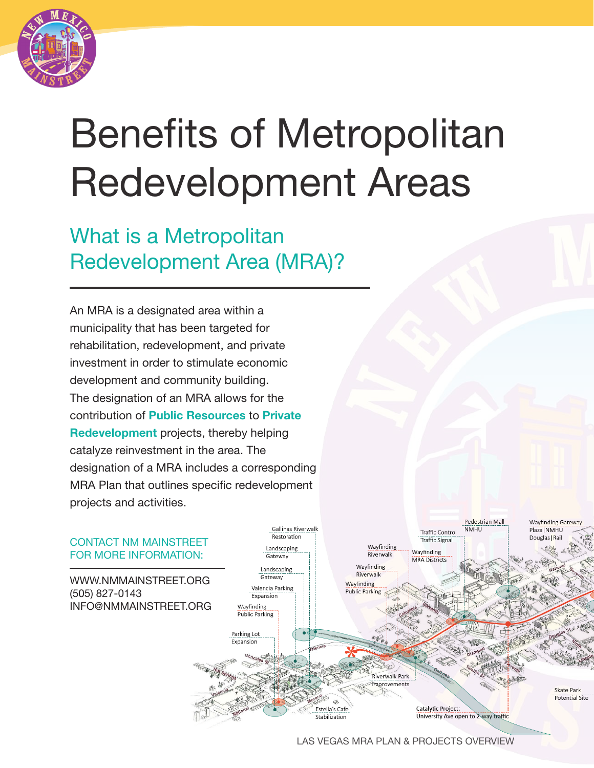

# Benefits of Metropolitan Redevelopment Areas

## What is a Metropolitan Redevelopment Area (MRA)?

An MRA is a designated area within a municipality that has been targeted for rehabilitation, redevelopment, and private investment in order to stimulate economic development and community building. The designation of an MRA allows for the contribution of **Public Resources** to **Private** Redevelopment projects, thereby helping catalyze reinvestment in the area. The designation of a MRA includes a corresponding MRA Plan that outlines specific redevelopment projects and activities.